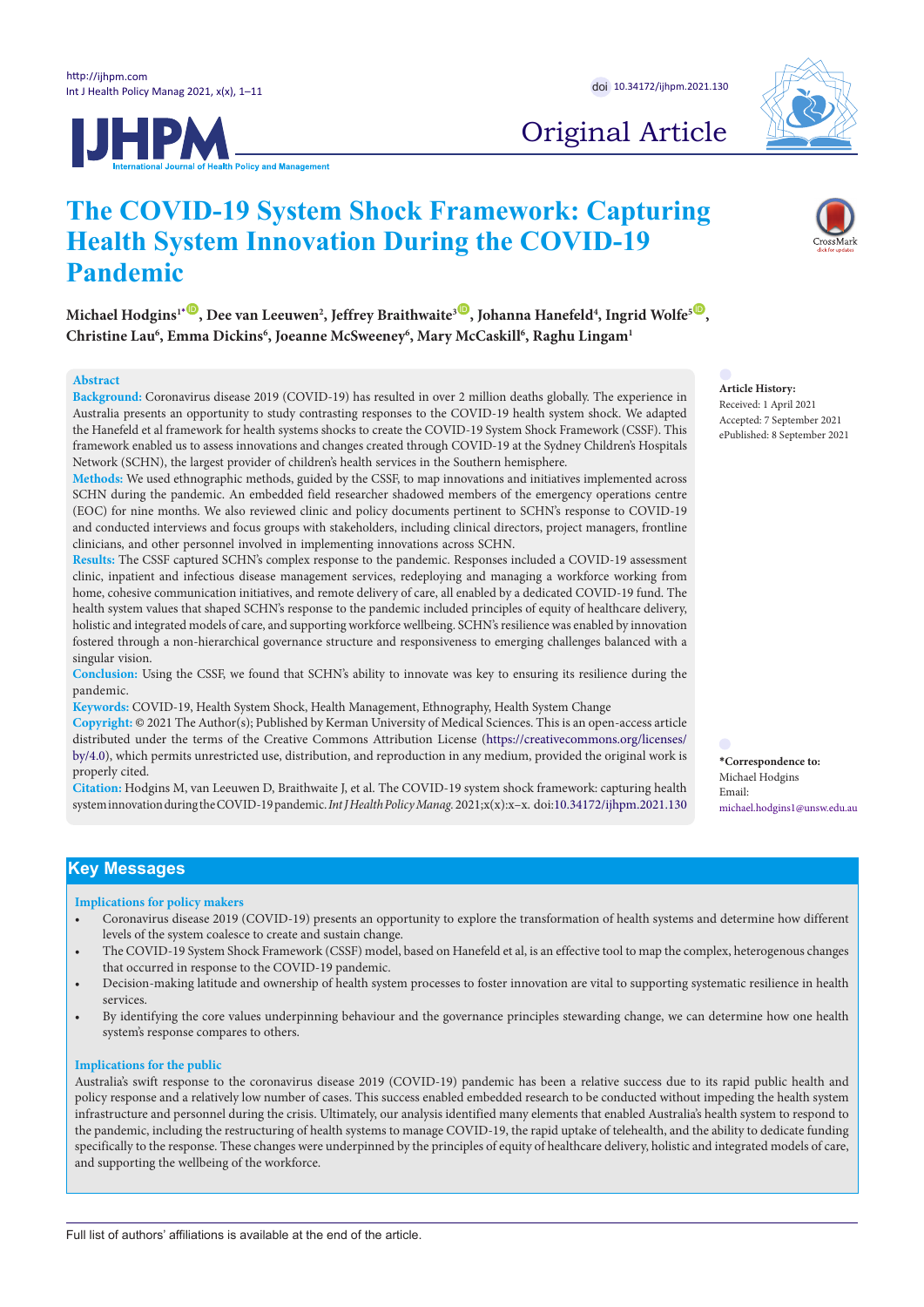



# Original Article

# **The COVID-19 System Shock Framework: Capturing Health System Innovation During the COVID-19 Pandemic**

 $M$ ichael Hodgins<sup>1[\\*](#page-0-0)</sup>  $\bullet$ , Dee van Leeuwen<sup>2</sup>, Jeffrey Braithwaite<sup>3</sup>  $\bullet$ , Johanna Hanefeld<sup>4</sup>, Ingrid Wolfe<sup>5  $\bullet$ </sup>, **Christine Lau6 , Emma Dickins6 , Joeanne McSweeney6 , Mary McCaskill6 , Raghu Lingam1**

## **Abstract**

**Background:** Coronavirus disease 2019 (COVID-19) has resulted in over 2 million deaths globally. The experience in Australia presents an opportunity to study contrasting responses to the COVID-19 health system shock. We adapted the Hanefeld et al framework for health systems shocks to create the COVID-19 System Shock Framework (CSSF). This framework enabled us to assess innovations and changes created through COVID-19 at the Sydney Children's Hospitals Network (SCHN), the largest provider of children's health services in the Southern hemisphere.

**Methods:** We used ethnographic methods, guided by the CSSF, to map innovations and initiatives implemented across SCHN during the pandemic. An embedded field researcher shadowed members of the emergency operations centre (EOC) for nine months. We also reviewed clinic and policy documents pertinent to SCHN's response to COVID-19 and conducted interviews and focus groups with stakeholders, including clinical directors, project managers, frontline clinicians, and other personnel involved in implementing innovations across SCHN.

**Results:** The CSSF captured SCHN's complex response to the pandemic. Responses included a COVID-19 assessment clinic, inpatient and infectious disease management services, redeploying and managing a workforce working from home, cohesive communication initiatives, and remote delivery of care, all enabled by a dedicated COVID-19 fund. The health system values that shaped SCHN's response to the pandemic included principles of equity of healthcare delivery, holistic and integrated models of care, and supporting workforce wellbeing. SCHN's resilience was enabled by innovation fostered through a non-hierarchical governance structure and responsiveness to emerging challenges balanced with a singular vision.

**Conclusion:** Using the CSSF, we found that SCHN's ability to innovate was key to ensuring its resilience during the pandemic.

**Keywords:** COVID-19, Health System Shock, Health Management, Ethnography, Health System Change

**Copyright:** © 2021 The Author(s); Published by Kerman University of Medical Sciences. This is an open-access article distributed under the terms of the Creative Commons Attribution License [\(https://creativecommons.org/licenses/](https://creativecommons.org/licenses/by/4.0/) [by/4.0\)](https://creativecommons.org/licenses/by/4.0/), which permits unrestricted use, distribution, and reproduction in any medium, provided the original work is properly cited.

**Citation:** Hodgins M, van Leeuwen D, Braithwaite J, et al. The COVID-19 system shock framework: capturing health system innovation during the COVID-19 pandemic. *Int J Health Policy Manag.*2021;x(x):x–x. doi:[10.34172/ijhpm.2021.130](https://doi.org/10.34172/ijhpm.2021.130)

<span id="page-0-0"></span>**\*Correspondence to:** Michael Hodgins Email: michael.hodgins1@unsw.edu.au

# **Key Messages**

#### **Implications for policy makers**

- Coronavirus disease 2019 (COVID-19) presents an opportunity to explore the transformation of health systems and determine how different levels of the system coalesce to create and sustain change.
- The COVID-19 System Shock Framework (CSSF) model, based on Hanefeld et al, is an effective tool to map the complex, heterogenous changes that occurred in response to the COVID-19 pandemic.
- Decision-making latitude and ownership of health system processes to foster innovation are vital to supporting systematic resilience in health services.
- By identifying the core values underpinning behaviour and the governance principles stewarding change, we can determine how one health system's response compares to others.

#### **Implications for the public**

Australia's swift response to the coronavirus disease 2019 (COVID-19) pandemic has been a relative success due to its rapid public health and policy response and a relatively low number of cases. This success enabled embedded research to be conducted without impeding the health system infrastructure and personnel during the crisis. Ultimately, our analysis identified many elements that enabled Australia's health system to respond to the pandemic, including the restructuring of health systems to manage COVID-19, the rapid uptake of telehealth, and the ability to dedicate funding specifically to the response. These changes were underpinned by the principles of equity of healthcare delivery, holistic and integrated models of care, and supporting the wellbeing of the workforce.

**Article History:** Received: 1 April 2021 Accepted: 7 September 2021 ePublished: 8 September 2021

Full list of authors' affiliations is available at the end of the article.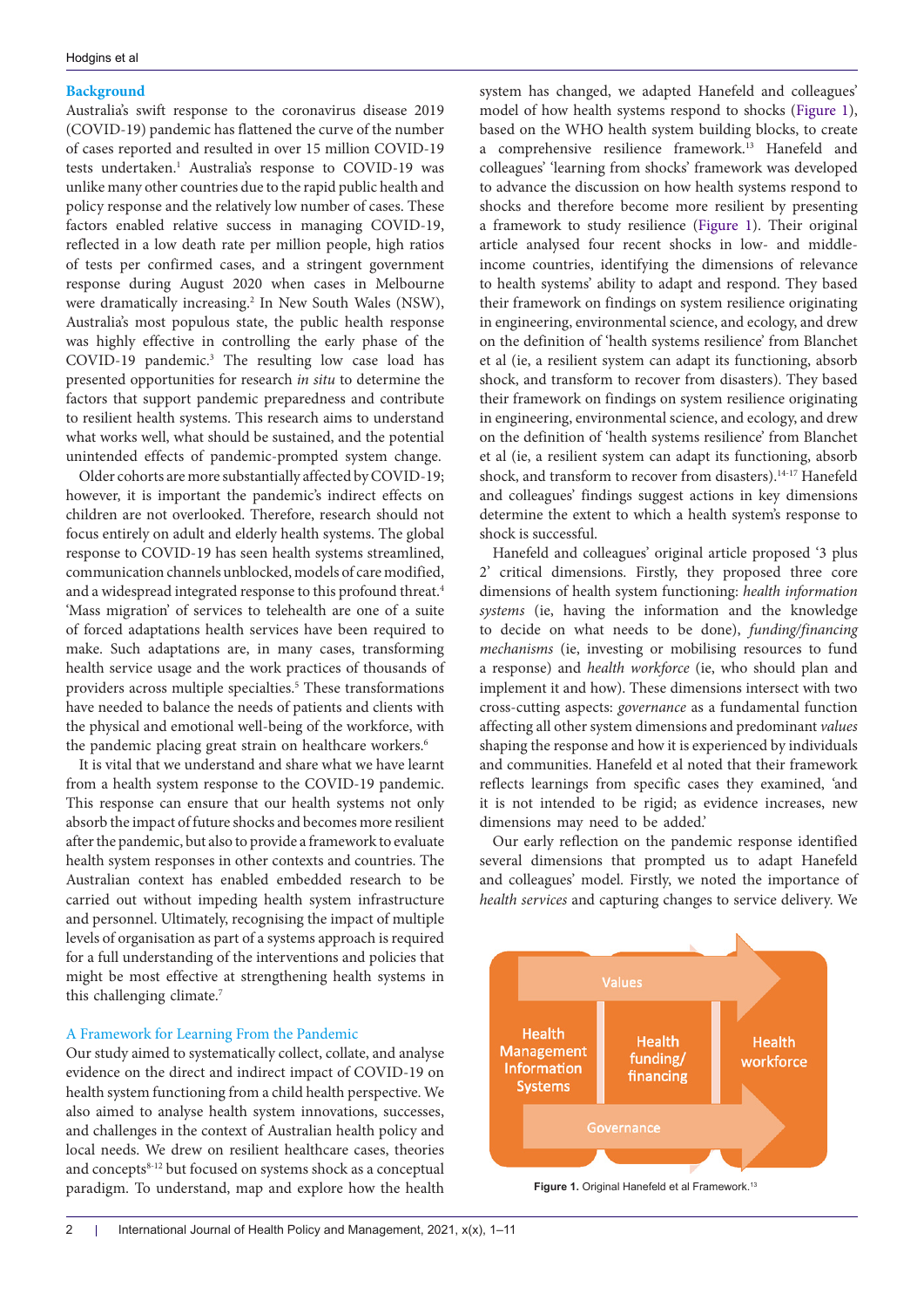# **Background**

Australia's swift response to the coronavirus disease 2019 (COVID-19) pandemic has flattened the curve of the number of cases reported and resulted in over 15 million COVID-19 tests undertaken.<sup>1</sup> Australia's response to COVID-19 was unlike many other countries due to the rapid public health and policy response and the relatively low number of cases. These factors enabled relative success in managing COVID-19, reflected in a low death rate per million people, high ratios of tests per confirmed cases, and a stringent government response during August 2020 when cases in Melbourne were dramatically increasing.<sup>2</sup> In New South Wales (NSW), Australia's most populous state, the public health response was highly effective in controlling the early phase of the COVID-19 pandemic.3 The resulting low case load has presented opportunities for research *in situ* to determine the factors that support pandemic preparedness and contribute to resilient health systems. This research aims to understand what works well, what should be sustained, and the potential unintended effects of pandemic-prompted system change.

Older cohorts are more substantially affected by COVID-19; however, it is important the pandemic's indirect effects on children are not overlooked. Therefore, research should not focus entirely on adult and elderly health systems. The global response to COVID-19 has seen health systems streamlined, communication channels unblocked, models of care modified, and a widespread integrated response to this profound threat.<sup>4</sup> 'Mass migration' of services to telehealth are one of a suite of forced adaptations health services have been required to make. Such adaptations are, in many cases, transforming health service usage and the work practices of thousands of providers across multiple specialties.<sup>5</sup> These transformations have needed to balance the needs of patients and clients with the physical and emotional well-being of the workforce, with the pandemic placing great strain on healthcare workers.<sup>6</sup>

It is vital that we understand and share what we have learnt from a health system response to the COVID-19 pandemic. This response can ensure that our health systems not only absorb the impact of future shocks and becomes more resilient after the pandemic, but also to provide a framework to evaluate health system responses in other contexts and countries. The Australian context has enabled embedded research to be carried out without impeding health system infrastructure and personnel. Ultimately, recognising the impact of multiple levels of organisation as part of a systems approach is required for a full understanding of the interventions and policies that might be most effective at strengthening health systems in this challenging climate.<sup>7</sup>

## A Framework for Learning From the Pandemic

Our study aimed to systematically collect, collate, and analyse evidence on the direct and indirect impact of COVID-19 on health system functioning from a child health perspective. We also aimed to analyse health system innovations, successes, and challenges in the context of Australian health policy and local needs. We drew on resilient healthcare cases, theories and concepts<sup>8-12</sup> but focused on systems shock as a conceptual paradigm. To understand, map and explore how the health

system has changed, we adapted Hanefeld and colleagues' model of how health systems respond to shocks [\(Figure 1](#page-1-0)), based on the WHO health system building blocks, to create a comprehensive resilience framework.13 Hanefeld and colleagues' 'learning from shocks' framework was developed to advance the discussion on how health systems respond to shocks and therefore become more resilient by presenting a framework to study resilience ([Figure 1\)](#page-1-0). Their original article analysed four recent shocks in low- and middleincome countries, identifying the dimensions of relevance to health systems' ability to adapt and respond. They based their framework on findings on system resilience originating in engineering, environmental science, and ecology, and drew on the definition of 'health systems resilience' from Blanchet et al (ie, a resilient system can adapt its functioning, absorb shock, and transform to recover from disasters). They based their framework on findings on system resilience originating in engineering, environmental science, and ecology, and drew on the definition of 'health systems resilience' from Blanchet et al (ie, a resilient system can adapt its functioning, absorb shock, and transform to recover from disasters).<sup>14-17</sup> Hanefeld and colleagues' findings suggest actions in key dimensions determine the extent to which a health system's response to shock is successful.

Hanefeld and colleagues' original article proposed '3 plus 2' critical dimensions. Firstly, they proposed three core dimensions of health system functioning: *health information systems* (ie, having the information and the knowledge to decide on what needs to be done), *funding/financing mechanisms* (ie, investing or mobilising resources to fund a response) and *health workforce* (ie, who should plan and implement it and how). These dimensions intersect with two cross-cutting aspects: *governance* as a fundamental function affecting all other system dimensions and predominant *values* shaping the response and how it is experienced by individuals and communities. Hanefeld et al noted that their framework reflects learnings from specific cases they examined, 'and it is not intended to be rigid; as evidence increases, new dimensions may need to be added.'

Our early reflection on the pandemic response identified several dimensions that prompted us to adapt Hanefeld and colleagues' model. Firstly, we noted the importance of *health services* and capturing changes to service delivery. We

<span id="page-1-0"></span>

**Figure 1.** Original Hanefeld et al Framework.<sup>13</sup>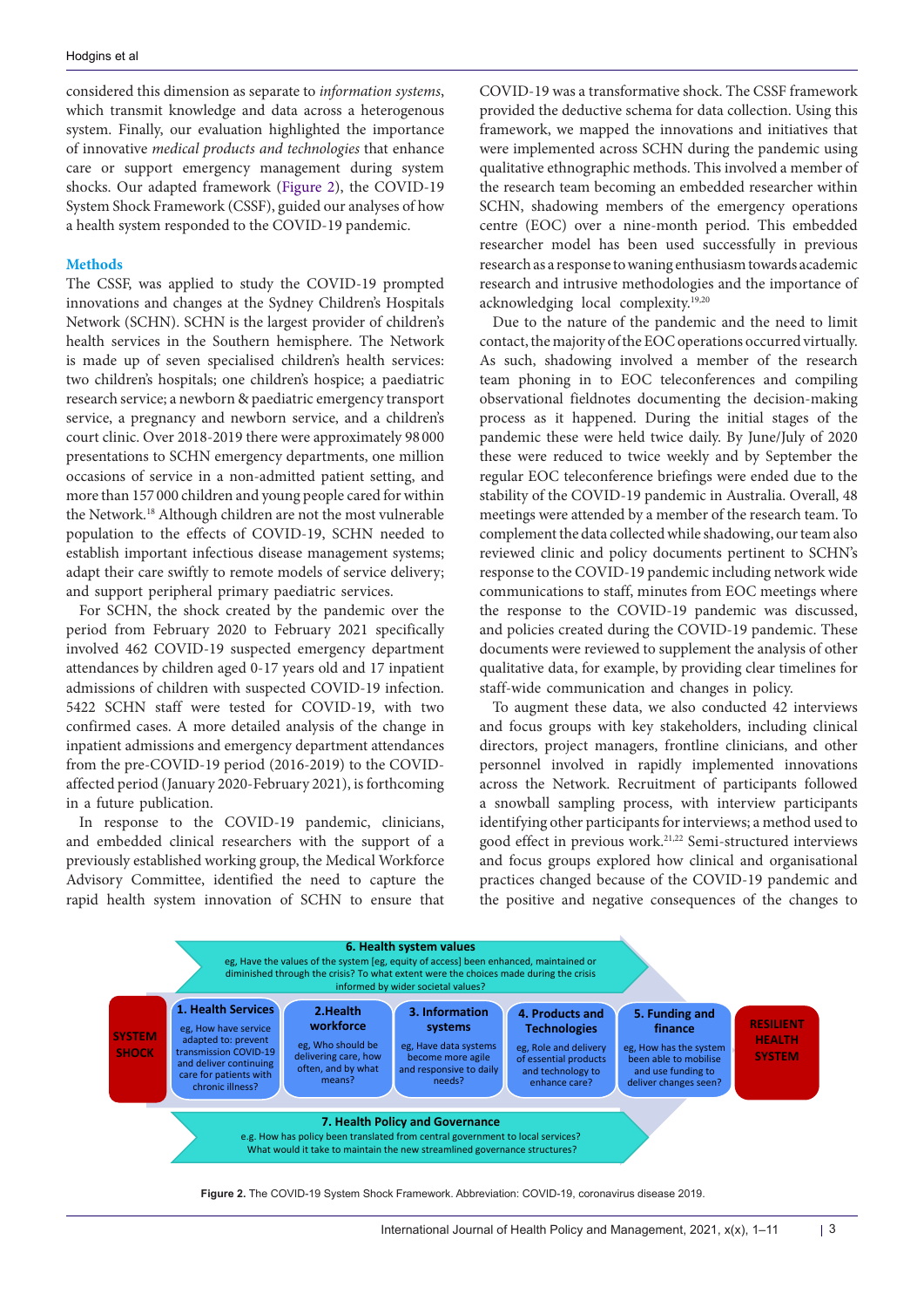considered this dimension as separate to *information systems*, which transmit knowledge and data across a heterogenous system. Finally, our evaluation highlighted the importance of innovative *medical products and technologies* that enhance care or support emergency management during system shocks. Our adapted framework ([Figure 2\)](#page-2-0), the COVID-19 System Shock Framework (CSSF), guided our analyses of how a health system responded to the COVID-19 pandemic.

# **Methods**

The CSSF, was applied to study the COVID-19 prompted innovations and changes at the Sydney Children's Hospitals Network (SCHN). SCHN is the largest provider of children's health services in the Southern hemisphere. The Network is made up of seven specialised children's health services: two children's hospitals; one children's hospice; a paediatric research service; a newborn & paediatric emergency transport service, a pregnancy and newborn service, and a children's court clinic. Over 2018-2019 there were approximately 98 000 presentations to SCHN emergency departments, one million occasions of service in a non-admitted patient setting, and more than 157 000 children and young people cared for within the Network.18 Although children are not the most vulnerable population to the effects of COVID-19, SCHN needed to establish important infectious disease management systems; adapt their care swiftly to remote models of service delivery; and support peripheral primary paediatric services.

For SCHN, the shock created by the pandemic over the period from February 2020 to February 2021 specifically involved 462 COVID-19 suspected emergency department attendances by children aged 0-17 years old and 17 inpatient admissions of children with suspected COVID-19 infection. 5422 SCHN staff were tested for COVID-19, with two confirmed cases. A more detailed analysis of the change in inpatient admissions and emergency department attendances from the pre-COVID-19 period (2016-2019) to the COVIDaffected period (January 2020-February 2021), is forthcoming in a future publication.

In response to the COVID-19 pandemic, clinicians, and embedded clinical researchers with the support of a previously established working group, the Medical Workforce Advisory Committee, identified the need to capture the rapid health system innovation of SCHN to ensure that

COVID-19 was a transformative shock. The CSSF framework provided the deductive schema for data collection. Using this framework, we mapped the innovations and initiatives that were implemented across SCHN during the pandemic using qualitative ethnographic methods. This involved a member of the research team becoming an embedded researcher within SCHN, shadowing members of the emergency operations centre (EOC) over a nine-month period. This embedded researcher model has been used successfully in previous research as a response to waning enthusiasm towards academic research and intrusive methodologies and the importance of acknowledging local complexity.19,20

Due to the nature of the pandemic and the need to limit contact, the majority of the EOC operations occurred virtually. As such, shadowing involved a member of the research team phoning in to EOC teleconferences and compiling observational fieldnotes documenting the decision-making process as it happened. During the initial stages of the pandemic these were held twice daily. By June/July of 2020 these were reduced to twice weekly and by September the regular EOC teleconference briefings were ended due to the stability of the COVID-19 pandemic in Australia. Overall, 48 meetings were attended by a member of the research team. To complement the data collected while shadowing, our team also reviewed clinic and policy documents pertinent to SCHN's response to the COVID-19 pandemic including network wide communications to staff, minutes from EOC meetings where the response to the COVID-19 pandemic was discussed, and policies created during the COVID-19 pandemic. These documents were reviewed to supplement the analysis of other qualitative data, for example, by providing clear timelines for staff-wide communication and changes in policy.

<span id="page-2-0"></span>To augment these data, we also conducted 42 interviews and focus groups with key stakeholders, including clinical directors, project managers, frontline clinicians, and other personnel involved in rapidly implemented innovations across the Network. Recruitment of participants followed a snowball sampling process, with interview participants identifying other participants for interviews; a method used to good effect in previous work.21,22 Semi-structured interviews and focus groups explored how clinical and organisational practices changed because of the COVID-19 pandemic and the positive and negative consequences of the changes to



**Figure 2.** The COVID-19 System Shock Framework. Abbreviation: COVID-19, coronavirus disease 2019.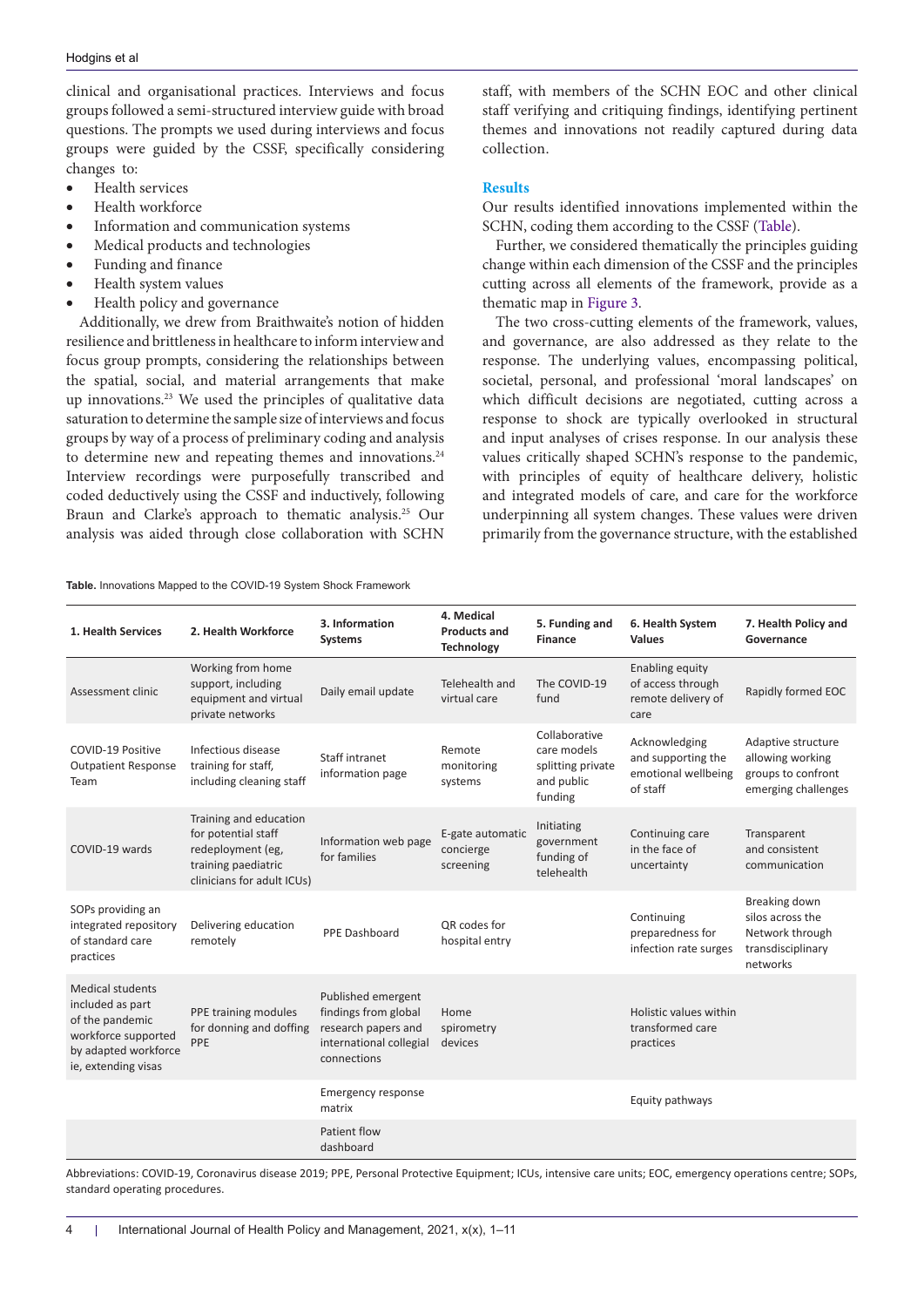clinical and organisational practices. Interviews and focus groups followed a semi-structured interview guide with broad questions. The prompts we used during interviews and focus groups were guided by the CSSF, specifically considering changes to:

- • Health services
- Health workforce
- Information and communication systems
- Medical products and technologies
- Funding and finance
- Health system values
- Health policy and governance

Additionally, we drew from Braithwaite's notion of hidden resilience and brittleness in healthcare to inform interview and focus group prompts, considering the relationships between the spatial, social, and material arrangements that make up innovations.23 We used the principles of qualitative data saturation to determine the sample size of interviews and focus groups by way of a process of preliminary coding and analysis to determine new and repeating themes and innovations.<sup>24</sup> Interview recordings were purposefully transcribed and coded deductively using the CSSF and inductively, following Braun and Clarke's approach to thematic analysis.25 Our analysis was aided through close collaboration with SCHN

<span id="page-3-0"></span>**Table.** Innovations Mapped to the COVID-19 System Shock Framework

staff, with members of the SCHN EOC and other clinical staff verifying and critiquing findings, identifying pertinent themes and innovations not readily captured during data collection.

# **Results**

Our results identified innovations implemented within the SCHN, coding them according to the CSSF ([Table](#page-3-0)).

Further, we considered thematically the principles guiding change within each dimension of the CSSF and the principles cutting across all elements of the framework, provide as a thematic map in [Figure 3](#page-4-0).

The two cross-cutting elements of the framework, values, and governance, are also addressed as they relate to the response. The underlying values, encompassing political, societal, personal, and professional 'moral landscapes' on which difficult decisions are negotiated, cutting across a response to shock are typically overlooked in structural and input analyses of crises response. In our analysis these values critically shaped SCHN's response to the pandemic, with principles of equity of healthcare delivery, holistic and integrated models of care, and care for the workforce underpinning all system changes. These values were driven primarily from the governance structure, with the established

| 1. Health Services                                                                                                            | 2. Health Workforce                                                                                                     | 3. Information<br><b>Systems</b>                                                                            | 4. Medical<br><b>Products and</b><br>Technology | 5. Funding and<br><b>Finance</b>                                           | 6. Health System<br><b>Values</b>                                      | 7. Health Policy and<br>Governance                                                    |
|-------------------------------------------------------------------------------------------------------------------------------|-------------------------------------------------------------------------------------------------------------------------|-------------------------------------------------------------------------------------------------------------|-------------------------------------------------|----------------------------------------------------------------------------|------------------------------------------------------------------------|---------------------------------------------------------------------------------------|
| Assessment clinic                                                                                                             | Working from home<br>support, including<br>equipment and virtual<br>private networks                                    | Daily email update                                                                                          | Telehealth and<br>virtual care                  | The COVID-19<br>fund                                                       | Enabling equity<br>of access through<br>remote delivery of<br>care     | Rapidly formed EOC                                                                    |
| COVID-19 Positive<br><b>Outpatient Response</b><br>Team                                                                       | Infectious disease<br>training for staff,<br>including cleaning staff                                                   | Staff intranet<br>information page                                                                          | Remote<br>monitoring<br>systems                 | Collaborative<br>care models<br>splitting private<br>and public<br>funding | Acknowledging<br>and supporting the<br>emotional wellbeing<br>of staff | Adaptive structure<br>allowing working<br>groups to confront<br>emerging challenges   |
| COVID-19 wards                                                                                                                | Training and education<br>for potential staff<br>redeployment (eg,<br>training paediatric<br>clinicians for adult ICUs) | Information web page<br>for families                                                                        | E-gate automatic<br>concierge<br>screening      | Initiating<br>government<br>funding of<br>telehealth                       | Continuing care<br>in the face of<br>uncertainty                       | Transparent<br>and consistent<br>communication                                        |
| SOPs providing an<br>integrated repository<br>of standard care<br>practices                                                   | Delivering education<br>remotely                                                                                        | PPE Dashboard                                                                                               | QR codes for<br>hospital entry                  |                                                                            | Continuing<br>preparedness for<br>infection rate surges                | Breaking down<br>silos across the<br>Network through<br>transdisciplinary<br>networks |
| Medical students<br>included as part<br>of the pandemic<br>workforce supported<br>by adapted workforce<br>ie, extending visas | PPE training modules<br>for donning and doffing<br>PPE                                                                  | Published emergent<br>findings from global<br>research papers and<br>international collegial<br>connections | Home<br>spirometry<br>devices                   |                                                                            | Holistic values within<br>transformed care<br>practices                |                                                                                       |
|                                                                                                                               |                                                                                                                         | <b>Emergency response</b><br>matrix                                                                         |                                                 |                                                                            | Equity pathways                                                        |                                                                                       |
|                                                                                                                               |                                                                                                                         | Patient flow<br>dashboard                                                                                   |                                                 |                                                                            |                                                                        |                                                                                       |

Abbreviations: COVID-19, Coronavirus disease 2019; PPE, Personal Protective Equipment; ICUs, intensive care units; EOC, emergency operations centre; SOPs, standard operating procedures.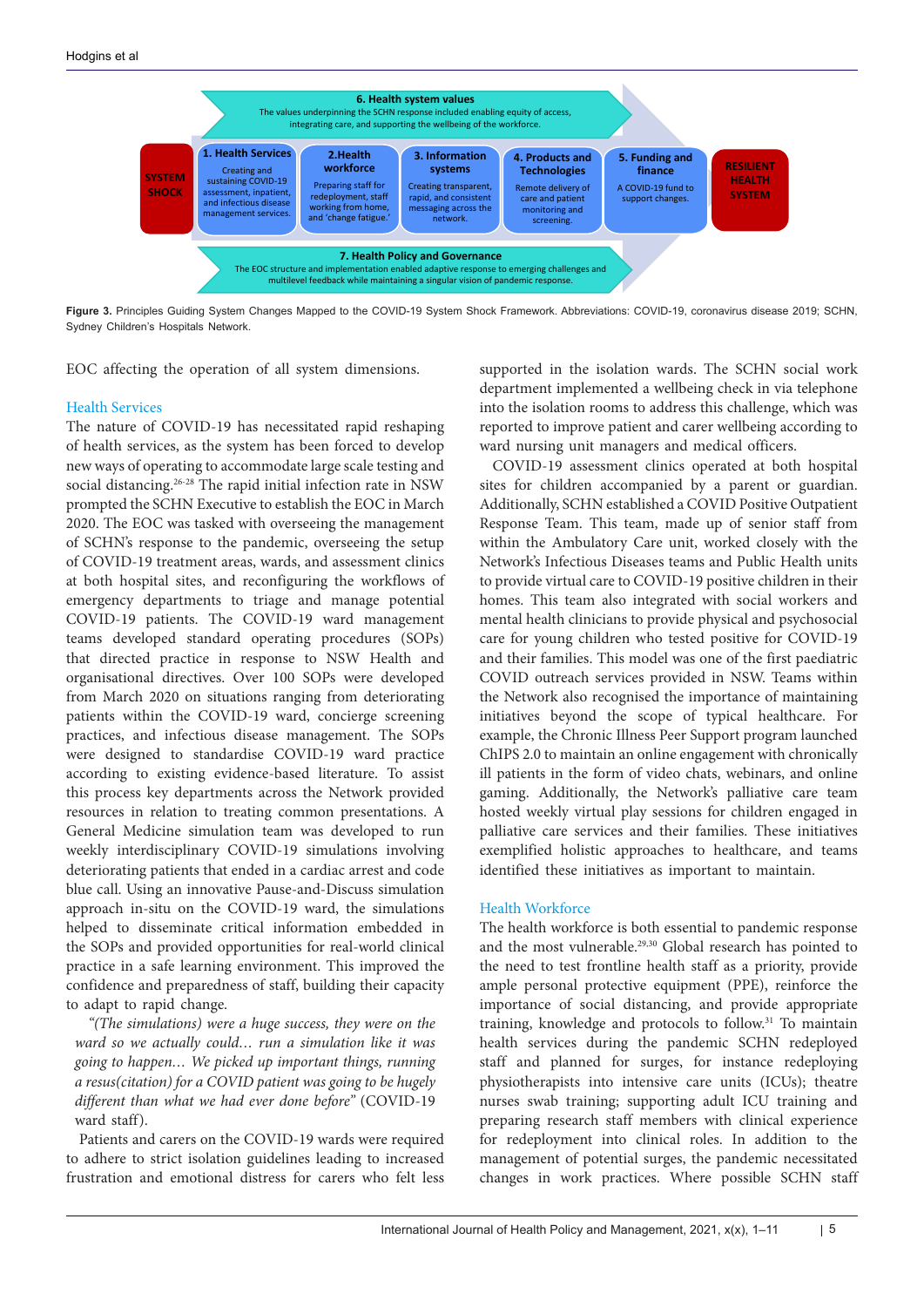<span id="page-4-0"></span>

**Figure 3.** Principles Guiding System Changes Mapped to the COVID-19 System Shock Framework. Abbreviations: COVID-19, coronavirus disease 2019; SCHN, Sydney Children's Hospitals Network.

EOC affecting the operation of all system dimensions.

#### Health Services

The nature of COVID-19 has necessitated rapid reshaping of health services, as the system has been forced to develop new ways of operating to accommodate large scale testing and social distancing.<sup>26-28</sup> The rapid initial infection rate in NSW prompted the SCHN Executive to establish the EOC in March 2020. The EOC was tasked with overseeing the management of SCHN's response to the pandemic, overseeing the setup of COVID-19 treatment areas, wards, and assessment clinics at both hospital sites, and reconfiguring the workflows of emergency departments to triage and manage potential COVID-19 patients. The COVID-19 ward management teams developed standard operating procedures (SOPs) that directed practice in response to NSW Health and organisational directives. Over 100 SOPs were developed from March 2020 on situations ranging from deteriorating patients within the COVID-19 ward, concierge screening practices, and infectious disease management. The SOPs were designed to standardise COVID-19 ward practice according to existing evidence-based literature. To assist this process key departments across the Network provided resources in relation to treating common presentations. A General Medicine simulation team was developed to run weekly interdisciplinary COVID-19 simulations involving deteriorating patients that ended in a cardiac arrest and code blue call. Using an innovative Pause-and-Discuss simulation approach in-situ on the COVID-19 ward, the simulations helped to disseminate critical information embedded in the SOPs and provided opportunities for real-world clinical practice in a safe learning environment. This improved the confidence and preparedness of staff, building their capacity to adapt to rapid change.

*"(The simulations) were a huge success, they were on the ward so we actually could… run a simulation like it was going to happen… We picked up important things, running a resus(citation) for a COVID patient was going to be hugely different than what we had ever done before"* (COVID-19 ward staff).

Patients and carers on the COVID-19 wards were required to adhere to strict isolation guidelines leading to increased frustration and emotional distress for carers who felt less

supported in the isolation wards. The SCHN social work department implemented a wellbeing check in via telephone into the isolation rooms to address this challenge, which was reported to improve patient and carer wellbeing according to ward nursing unit managers and medical officers.

COVID-19 assessment clinics operated at both hospital sites for children accompanied by a parent or guardian. Additionally, SCHN established a COVID Positive Outpatient Response Team. This team, made up of senior staff from within the Ambulatory Care unit, worked closely with the Network's Infectious Diseases teams and Public Health units to provide virtual care to COVID-19 positive children in their homes. This team also integrated with social workers and mental health clinicians to provide physical and psychosocial care for young children who tested positive for COVID-19 and their families. This model was one of the first paediatric COVID outreach services provided in NSW. Teams within the Network also recognised the importance of maintaining initiatives beyond the scope of typical healthcare. For example, the Chronic Illness Peer Support program launched ChIPS 2.0 to maintain an online engagement with chronically ill patients in the form of video chats, webinars, and online gaming. Additionally, the Network's palliative care team hosted weekly virtual play sessions for children engaged in palliative care services and their families. These initiatives exemplified holistic approaches to healthcare, and teams identified these initiatives as important to maintain.

#### Health Workforce

The health workforce is both essential to pandemic response and the most vulnerable.29,30 Global research has pointed to the need to test frontline health staff as a priority, provide ample personal protective equipment (PPE), reinforce the importance of social distancing, and provide appropriate training, knowledge and protocols to follow.31 To maintain health services during the pandemic SCHN redeployed staff and planned for surges, for instance redeploying physiotherapists into intensive care units (ICUs); theatre nurses swab training; supporting adult ICU training and preparing research staff members with clinical experience for redeployment into clinical roles. In addition to the management of potential surges, the pandemic necessitated changes in work practices. Where possible SCHN staff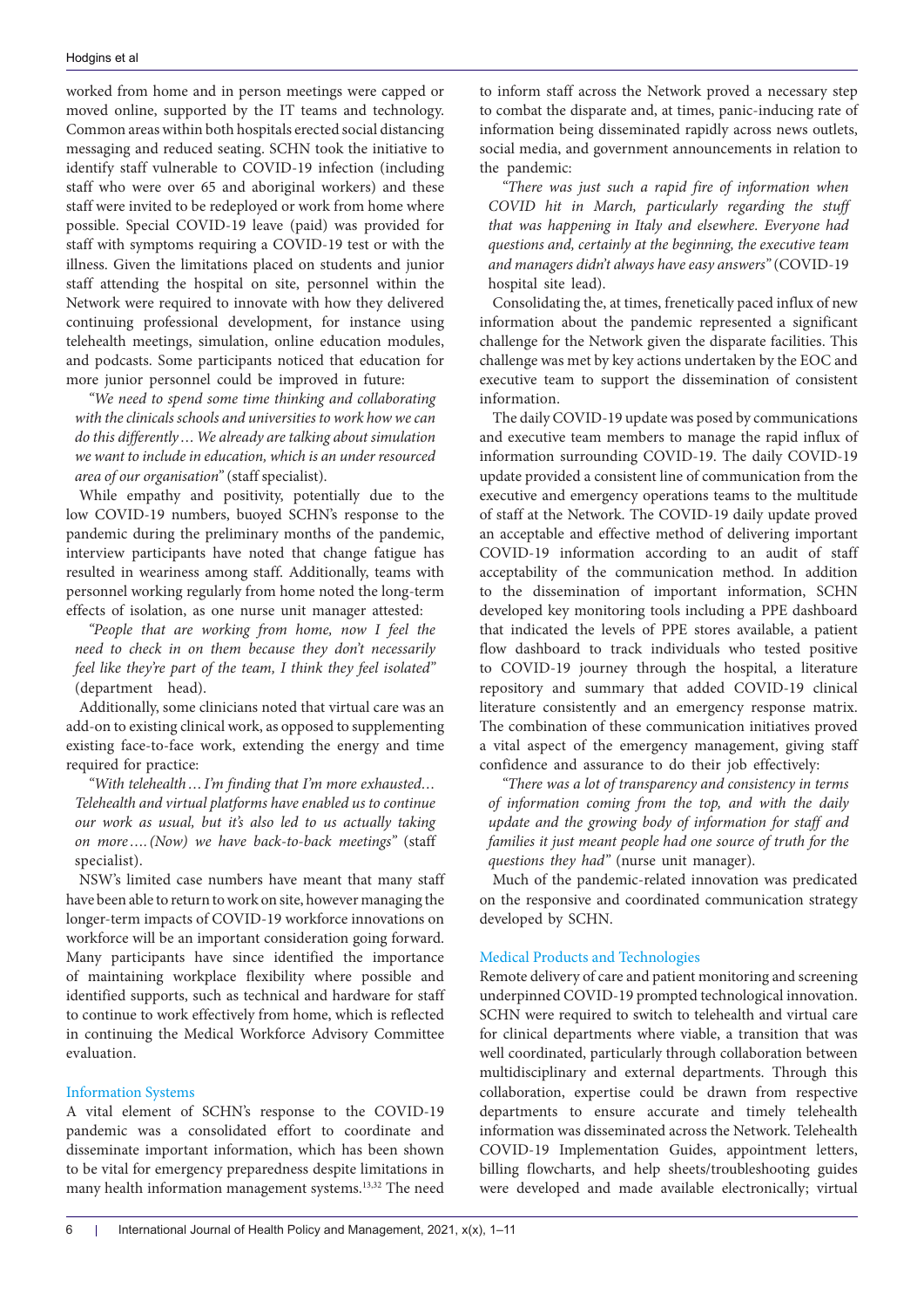worked from home and in person meetings were capped or moved online, supported by the IT teams and technology. Common areas within both hospitals erected social distancing messaging and reduced seating. SCHN took the initiative to identify staff vulnerable to COVID-19 infection (including staff who were over 65 and aboriginal workers) and these staff were invited to be redeployed or work from home where possible. Special COVID-19 leave (paid) was provided for staff with symptoms requiring a COVID-19 test or with the illness. Given the limitations placed on students and junior staff attending the hospital on site, personnel within the Network were required to innovate with how they delivered continuing professional development, for instance using telehealth meetings, simulation, online education modules, and podcasts. Some participants noticed that education for more junior personnel could be improved in future:

*"We need to spend some time thinking and collaborating with the clinicals schools and universities to work how we can do this differently…We already are talking about simulation we want to include in education, which is an under resourced area of our organisation"* (staff specialist).

While empathy and positivity, potentially due to the low COVID-19 numbers, buoyed SCHN's response to the pandemic during the preliminary months of the pandemic, interview participants have noted that change fatigue has resulted in weariness among staff. Additionally, teams with personnel working regularly from home noted the long-term effects of isolation, as one nurse unit manager attested:

*"People that are working from home, now I feel the need to check in on them because they don't necessarily feel like they're part of the team, I think they feel isolated"* (department head).

Additionally, some clinicians noted that virtual care was an add-on to existing clinical work, as opposed to supplementing existing face-to-face work, extending the energy and time required for practice:

*"With telehealth…I'm finding that I'm more exhausted… Telehealth and virtual platforms have enabled us to continue our work as usual, but it's also led to us actually taking on more….(Now) we have back-to-back meetings"* (staff specialist).

NSW's limited case numbers have meant that many staff have been able to return to work on site, however managing the longer-term impacts of COVID-19 workforce innovations on workforce will be an important consideration going forward. Many participants have since identified the importance of maintaining workplace flexibility where possible and identified supports, such as technical and hardware for staff to continue to work effectively from home, which is reflected in continuing the Medical Workforce Advisory Committee evaluation.

### Information Systems

A vital element of SCHN's response to the COVID-19 pandemic was a consolidated effort to coordinate and disseminate important information, which has been shown to be vital for emergency preparedness despite limitations in many health information management systems.13,32 The need

to inform staff across the Network proved a necessary step to combat the disparate and, at times, panic-inducing rate of information being disseminated rapidly across news outlets, social media, and government announcements in relation to the pandemic:

*"There was just such a rapid fire of information when COVID hit in March, particularly regarding the stuff that was happening in Italy and elsewhere. Everyone had questions and, certainly at the beginning, the executive team and managers didn't always have easy answers"* (COVID-19 hospital site lead).

Consolidating the, at times, frenetically paced influx of new information about the pandemic represented a significant challenge for the Network given the disparate facilities. This challenge was met by key actions undertaken by the EOC and executive team to support the dissemination of consistent information.

The daily COVID-19 update was posed by communications and executive team members to manage the rapid influx of information surrounding COVID-19. The daily COVID-19 update provided a consistent line of communication from the executive and emergency operations teams to the multitude of staff at the Network. The COVID-19 daily update proved an acceptable and effective method of delivering important COVID-19 information according to an audit of staff acceptability of the communication method. In addition to the dissemination of important information, SCHN developed key monitoring tools including a PPE dashboard that indicated the levels of PPE stores available, a patient flow dashboard to track individuals who tested positive to COVID-19 journey through the hospital, a literature repository and summary that added COVID-19 clinical literature consistently and an emergency response matrix. The combination of these communication initiatives proved a vital aspect of the emergency management, giving staff confidence and assurance to do their job effectively:

*"There was a lot of transparency and consistency in terms of information coming from the top, and with the daily update and the growing body of information for staff and families it just meant people had one source of truth for the questions they had"* (nurse unit manager).

Much of the pandemic-related innovation was predicated on the responsive and coordinated communication strategy developed by SCHN.

## Medical Products and Technologies

Remote delivery of care and patient monitoring and screening underpinned COVID-19 prompted technological innovation. SCHN were required to switch to telehealth and virtual care for clinical departments where viable, a transition that was well coordinated, particularly through collaboration between multidisciplinary and external departments. Through this collaboration, expertise could be drawn from respective departments to ensure accurate and timely telehealth information was disseminated across the Network. Telehealth COVID-19 Implementation Guides, appointment letters, billing flowcharts, and help sheets/troubleshooting guides were developed and made available electronically; virtual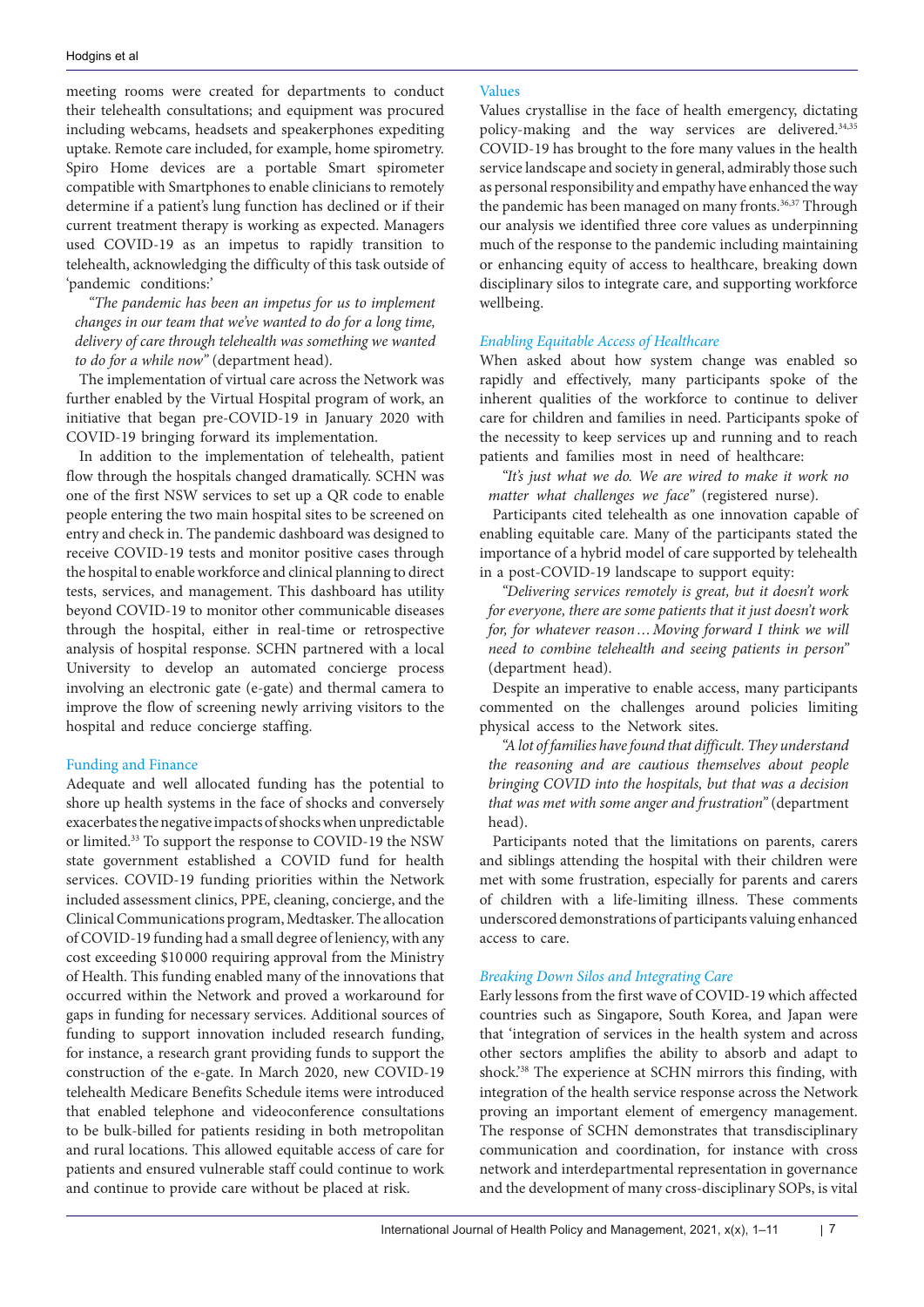meeting rooms were created for departments to conduct their telehealth consultations; and equipment was procured including webcams, headsets and speakerphones expediting uptake. Remote care included, for example, home spirometry. Spiro Home devices are a portable Smart spirometer compatible with Smartphones to enable clinicians to remotely determine if a patient's lung function has declined or if their current treatment therapy is working as expected. Managers used COVID-19 as an impetus to rapidly transition to telehealth, acknowledging the difficulty of this task outside of 'pandemic conditions:'

*"The pandemic has been an impetus for us to implement changes in our team that we've wanted to do for a long time, delivery of care through telehealth was something we wanted to do for a while now"* (department head).

The implementation of virtual care across the Network was further enabled by the Virtual Hospital program of work, an initiative that began pre-COVID-19 in January 2020 with COVID-19 bringing forward its implementation.

In addition to the implementation of telehealth, patient flow through the hospitals changed dramatically. SCHN was one of the first NSW services to set up a QR code to enable people entering the two main hospital sites to be screened on entry and check in. The pandemic dashboard was designed to receive COVID-19 tests and monitor positive cases through the hospital to enable workforce and clinical planning to direct tests, services, and management. This dashboard has utility beyond COVID-19 to monitor other communicable diseases through the hospital, either in real-time or retrospective analysis of hospital response. SCHN partnered with a local University to develop an automated concierge process involving an electronic gate (e-gate) and thermal camera to improve the flow of screening newly arriving visitors to the hospital and reduce concierge staffing.

### Funding and Finance

Adequate and well allocated funding has the potential to shore up health systems in the face of shocks and conversely exacerbates the negative impacts of shocks when unpredictable or limited.33 To support the response to COVID-19 the NSW state government established a COVID fund for health services. COVID-19 funding priorities within the Network included assessment clinics, PPE, cleaning, concierge, and the Clinical Communications program, Medtasker. The allocation of COVID-19 funding had a small degree of leniency, with any cost exceeding \$10 000 requiring approval from the Ministry of Health. This funding enabled many of the innovations that occurred within the Network and proved a workaround for gaps in funding for necessary services. Additional sources of funding to support innovation included research funding, for instance, a research grant providing funds to support the construction of the e-gate. In March 2020, new COVID-19 telehealth Medicare Benefits Schedule items were introduced that enabled telephone and videoconference consultations to be bulk-billed for patients residing in both metropolitan and rural locations. This allowed equitable access of care for patients and ensured vulnerable staff could continue to work and continue to provide care without be placed at risk.

#### Values

Values crystallise in the face of health emergency, dictating policy-making and the way services are delivered.34,35 COVID-19 has brought to the fore many values in the health service landscape and society in general, admirably those such as personal responsibility and empathy have enhanced the way the pandemic has been managed on many fronts.<sup>36,37</sup> Through our analysis we identified three core values as underpinning much of the response to the pandemic including maintaining or enhancing equity of access to healthcare, breaking down disciplinary silos to integrate care, and supporting workforce wellbeing.

## *Enabling Equitable Access of Healthcare*

When asked about how system change was enabled so rapidly and effectively, many participants spoke of the inherent qualities of the workforce to continue to deliver care for children and families in need. Participants spoke of the necessity to keep services up and running and to reach patients and families most in need of healthcare:

*"It's just what we do. We are wired to make it work no matter what challenges we face"* (registered nurse).

Participants cited telehealth as one innovation capable of enabling equitable care. Many of the participants stated the importance of a hybrid model of care supported by telehealth in a post-COVID-19 landscape to support equity:

*"Delivering services remotely is great, but it doesn't work for everyone, there are some patients that it just doesn't work for, for whatever reason…Moving forward I think we will need to combine telehealth and seeing patients in person"*  (department head).

Despite an imperative to enable access, many participants commented on the challenges around policies limiting physical access to the Network sites.

*"A lot of families have found that difficult. They understand the reasoning and are cautious themselves about people bringing COVID into the hospitals, but that was a decision that was met with some anger and frustration"* (department head).

Participants noted that the limitations on parents, carers and siblings attending the hospital with their children were met with some frustration, especially for parents and carers of children with a life-limiting illness. These comments underscored demonstrations of participants valuing enhanced access to care.

## *Breaking Down Silos and Integrating Care*

Early lessons from the first wave of COVID-19 which affected countries such as Singapore, South Korea, and Japan were that 'integration of services in the health system and across other sectors amplifies the ability to absorb and adapt to shock.'38 The experience at SCHN mirrors this finding, with integration of the health service response across the Network proving an important element of emergency management. The response of SCHN demonstrates that transdisciplinary communication and coordination, for instance with cross network and interdepartmental representation in governance and the development of many cross-disciplinary SOPs, is vital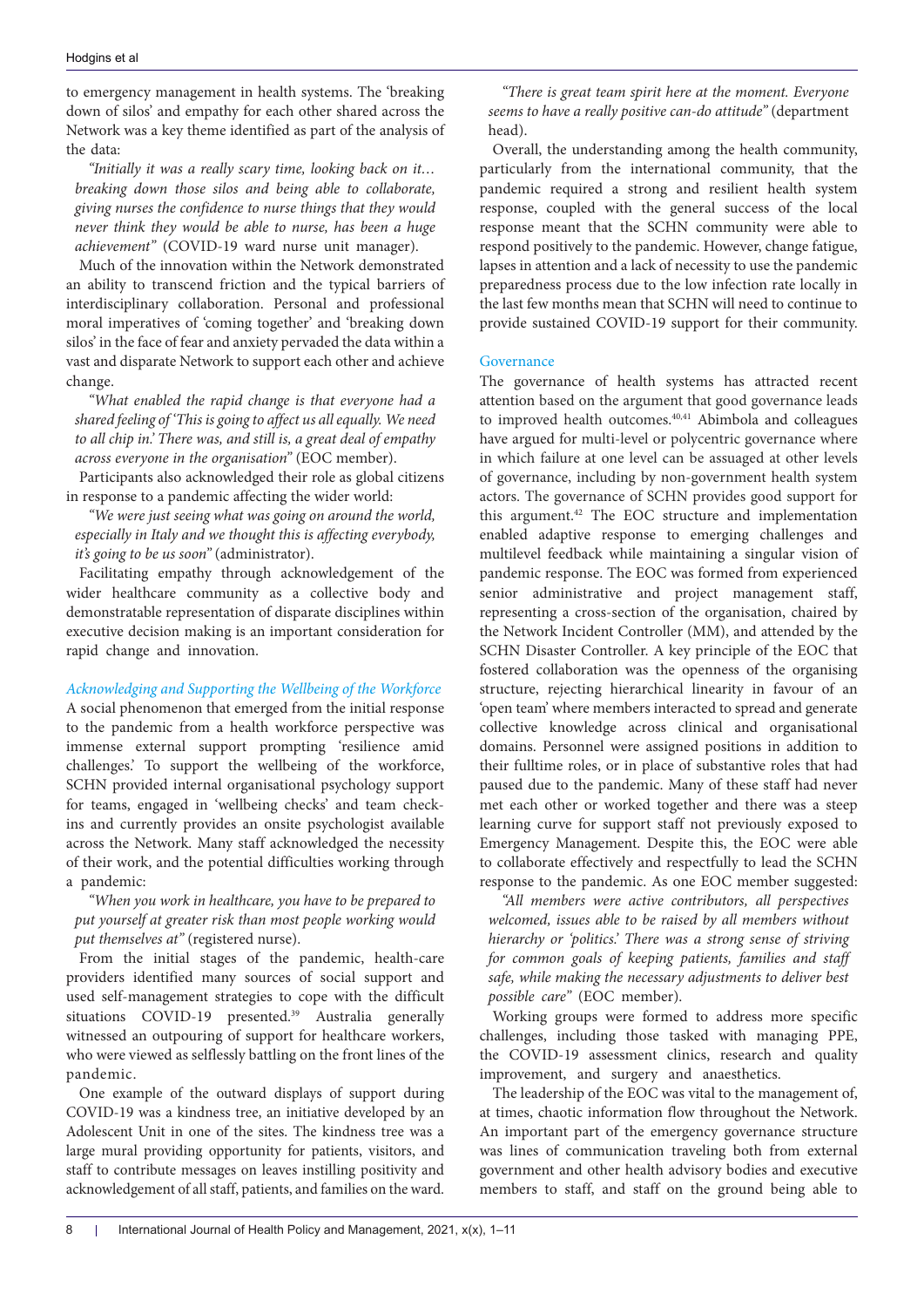to emergency management in health systems. The 'breaking down of silos' and empathy for each other shared across the Network was a key theme identified as part of the analysis of the data:

*"Initially it was a really scary time, looking back on it… breaking down those silos and being able to collaborate, giving nurses the confidence to nurse things that they would never think they would be able to nurse, has been a huge achievement"* (COVID-19 ward nurse unit manager).

Much of the innovation within the Network demonstrated an ability to transcend friction and the typical barriers of interdisciplinary collaboration. Personal and professional moral imperatives of 'coming together' and 'breaking down silos' in the face of fear and anxiety pervaded the data within a vast and disparate Network to support each other and achieve change.

*"What enabled the rapid change is that everyone had a shared feeling of 'This is going to affect us all equally. We need to all chip in.' There was, and still is, a great deal of empathy across everyone in the organisation"* (EOC member).

Participants also acknowledged their role as global citizens in response to a pandemic affecting the wider world:

*"We were just seeing what was going on around the world, especially in Italy and we thought this is affecting everybody, it's going to be us soon"* (administrator).

Facilitating empathy through acknowledgement of the wider healthcare community as a collective body and demonstratable representation of disparate disciplines within executive decision making is an important consideration for rapid change and innovation.

# *Acknowledging and Supporting the Wellbeing of the Workforce*

A social phenomenon that emerged from the initial response to the pandemic from a health workforce perspective was immense external support prompting 'resilience amid challenges.' To support the wellbeing of the workforce, SCHN provided internal organisational psychology support for teams, engaged in 'wellbeing checks' and team checkins and currently provides an onsite psychologist available across the Network. Many staff acknowledged the necessity of their work, and the potential difficulties working through a pandemic:

*"When you work in healthcare, you have to be prepared to put yourself at greater risk than most people working would put themselves at"* (registered nurse).

From the initial stages of the pandemic, health-care providers identified many sources of social support and used self-management strategies to cope with the difficult situations COVID-19 presented.<sup>39</sup> Australia generally witnessed an outpouring of support for healthcare workers, who were viewed as selflessly battling on the front lines of the pandemic.

One example of the outward displays of support during COVID-19 was a kindness tree, an initiative developed by an Adolescent Unit in one of the sites. The kindness tree was a large mural providing opportunity for patients, visitors, and staff to contribute messages on leaves instilling positivity and acknowledgement of all staff, patients, and families on the ward.

*"There is great team spirit here at the moment. Everyone seems to have a really positive can-do attitude"* (department head).

Overall, the understanding among the health community, particularly from the international community, that the pandemic required a strong and resilient health system response, coupled with the general success of the local response meant that the SCHN community were able to respond positively to the pandemic. However, change fatigue, lapses in attention and a lack of necessity to use the pandemic preparedness process due to the low infection rate locally in the last few months mean that SCHN will need to continue to provide sustained COVID-19 support for their community.

## **Governance**

The governance of health systems has attracted recent attention based on the argument that good governance leads to improved health outcomes. 40,41 Abimbola and colleagues have argued for multi-level or polycentric governance where in which failure at one level can be assuaged at other levels of governance, including by non-government health system actors. The governance of SCHN provides good support for this argument.<sup>42</sup> The EOC structure and implementation enabled adaptive response to emerging challenges and multilevel feedback while maintaining a singular vision of pandemic response. The EOC was formed from experienced senior administrative and project management staff, representing a cross-section of the organisation, chaired by the Network Incident Controller (MM), and attended by the SCHN Disaster Controller. A key principle of the EOC that fostered collaboration was the openness of the organising structure, rejecting hierarchical linearity in favour of an 'open team' where members interacted to spread and generate collective knowledge across clinical and organisational domains. Personnel were assigned positions in addition to their fulltime roles, or in place of substantive roles that had paused due to the pandemic. Many of these staff had never met each other or worked together and there was a steep learning curve for support staff not previously exposed to Emergency Management. Despite this, the EOC were able to collaborate effectively and respectfully to lead the SCHN response to the pandemic. As one EOC member suggested:

*"All members were active contributors, all perspectives welcomed, issues able to be raised by all members without hierarchy or 'politics.' There was a strong sense of striving for common goals of keeping patients, families and staff safe, while making the necessary adjustments to deliver best possible care"* (EOC member).

Working groups were formed to address more specific challenges, including those tasked with managing PPE, the COVID-19 assessment clinics, research and quality improvement, and surgery and anaesthetics.

The leadership of the EOC was vital to the management of, at times, chaotic information flow throughout the Network. An important part of the emergency governance structure was lines of communication traveling both from external government and other health advisory bodies and executive members to staff, and staff on the ground being able to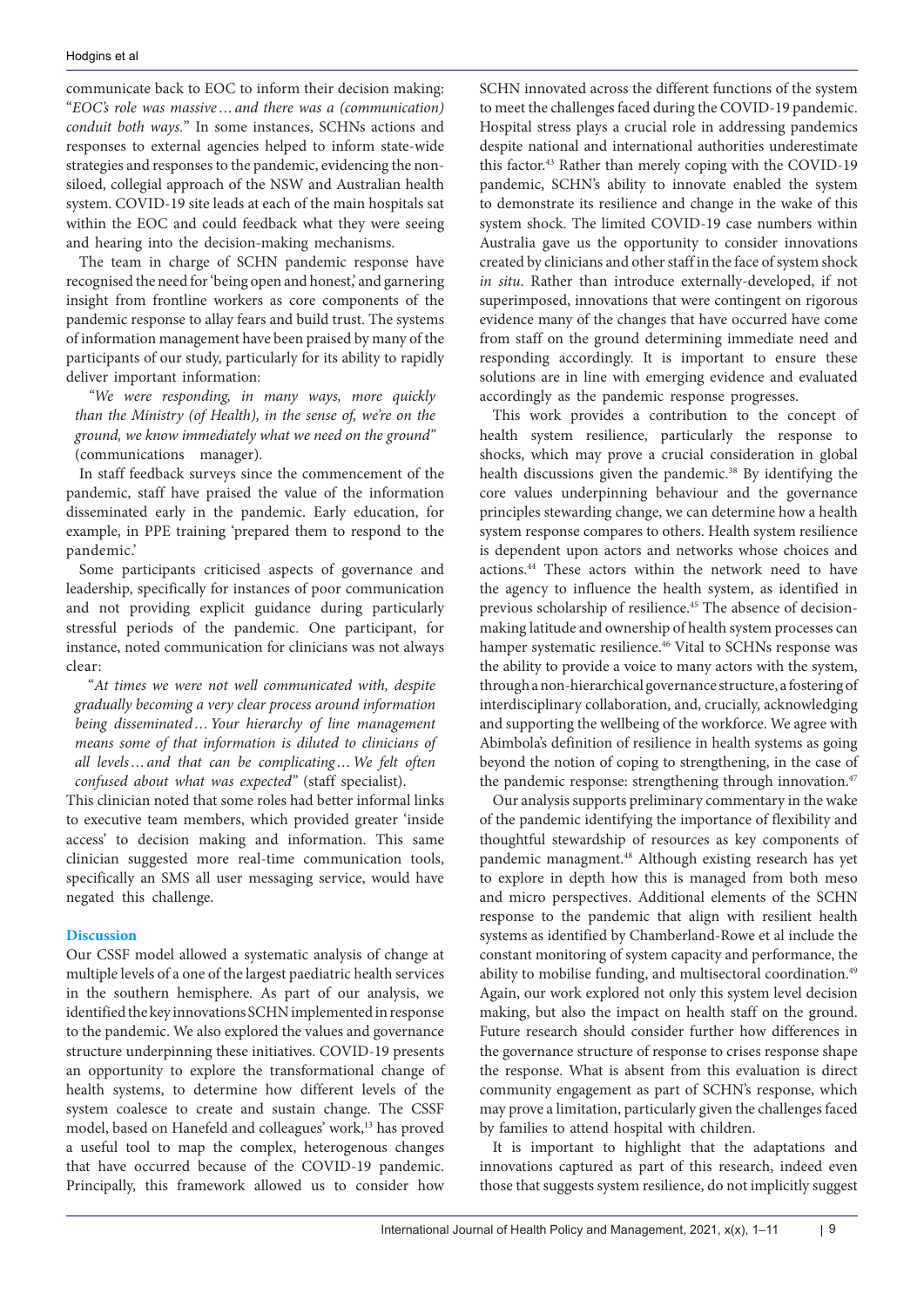communicate back to EOC to inform their decision making: "*EOC's role was massive…and there was a (communication) conduit both ways.*" In some instances, SCHNs actions and responses to external agencies helped to inform state-wide strategies and responses to the pandemic, evidencing the nonsiloed, collegial approach of the NSW and Australian health system. COVID-19 site leads at each of the main hospitals sat within the EOC and could feedback what they were seeing and hearing into the decision-making mechanisms.

The team in charge of SCHN pandemic response have recognised the need for 'being open and honest,' and garnering insight from frontline workers as core components of the pandemic response to allay fears and build trust. The systems of information management have been praised by many of the participants of our study, particularly for its ability to rapidly deliver important information:

*"We were responding, in many ways, more quickly than the Ministry (of Health), in the sense of, we're on the ground, we know immediately what we need on the ground"* (communications manager).

In staff feedback surveys since the commencement of the pandemic, staff have praised the value of the information disseminated early in the pandemic. Early education, for example, in PPE training 'prepared them to respond to the pandemic.'

Some participants criticised aspects of governance and leadership, specifically for instances of poor communication and not providing explicit guidance during particularly stressful periods of the pandemic. One participant, for instance, noted communication for clinicians was not always clear:

"*At times we were not well communicated with, despite gradually becoming a very clear process around information being disseminated…Your hierarchy of line management means some of that information is diluted to clinicians of all levels…and that can be complicating…We felt often confused about what was expected"* (staff specialist).

This clinician noted that some roles had better informal links to executive team members, which provided greater 'inside access' to decision making and information. This same clinician suggested more real-time communication tools, specifically an SMS all user messaging service, would have negated this challenge.

# **Discussion**

Our CSSF model allowed a systematic analysis of change at multiple levels of a one of the largest paediatric health services in the southern hemisphere. As part of our analysis, we identified the key innovations SCHN implemented in response to the pandemic. We also explored the values and governance structure underpinning these initiatives. COVID-19 presents an opportunity to explore the transformational change of health systems, to determine how different levels of the system coalesce to create and sustain change. The CSSF model, based on Hanefeld and colleagues' work,<sup>13</sup> has proved a useful tool to map the complex, heterogenous changes that have occurred because of the COVID-19 pandemic. Principally, this framework allowed us to consider how

SCHN innovated across the different functions of the system to meet the challenges faced during the COVID-19 pandemic. Hospital stress plays a crucial role in addressing pandemics despite national and international authorities underestimate this factor.43 Rather than merely coping with the COVID-19 pandemic, SCHN's ability to innovate enabled the system to demonstrate its resilience and change in the wake of this system shock. The limited COVID-19 case numbers within Australia gave us the opportunity to consider innovations created by clinicians and other staff in the face of system shock *in situ*. Rather than introduce externally-developed, if not superimposed, innovations that were contingent on rigorous evidence many of the changes that have occurred have come from staff on the ground determining immediate need and responding accordingly. It is important to ensure these solutions are in line with emerging evidence and evaluated accordingly as the pandemic response progresses.

This work provides a contribution to the concept of health system resilience, particularly the response to shocks, which may prove a crucial consideration in global health discussions given the pandemic.<sup>38</sup> By identifying the core values underpinning behaviour and the governance principles stewarding change, we can determine how a health system response compares to others. Health system resilience is dependent upon actors and networks whose choices and actions.44 These actors within the network need to have the agency to influence the health system, as identified in previous scholarship of resilience.<sup>45</sup> The absence of decisionmaking latitude and ownership of health system processes can hamper systematic resilience.<sup>46</sup> Vital to SCHNs response was the ability to provide a voice to many actors with the system, through a non-hierarchical governance structure, a fostering of interdisciplinary collaboration, and, crucially, acknowledging and supporting the wellbeing of the workforce. We agree with Abimbola's definition of resilience in health systems as going beyond the notion of coping to strengthening, in the case of the pandemic response: strengthening through innovation.<sup>47</sup>

Our analysis supports preliminary commentary in the wake of the pandemic identifying the importance of flexibility and thoughtful stewardship of resources as key components of pandemic managment.<sup>48</sup> Although existing research has yet to explore in depth how this is managed from both meso and micro perspectives. Additional elements of the SCHN response to the pandemic that align with resilient health systems as identified by Chamberland-Rowe et al include the constant monitoring of system capacity and performance, the ability to mobilise funding, and multisectoral coordination.<sup>49</sup> Again, our work explored not only this system level decision making, but also the impact on health staff on the ground. Future research should consider further how differences in the governance structure of response to crises response shape the response. What is absent from this evaluation is direct community engagement as part of SCHN's response, which may prove a limitation, particularly given the challenges faced by families to attend hospital with children.

It is important to highlight that the adaptations and innovations captured as part of this research, indeed even those that suggests system resilience, do not implicitly suggest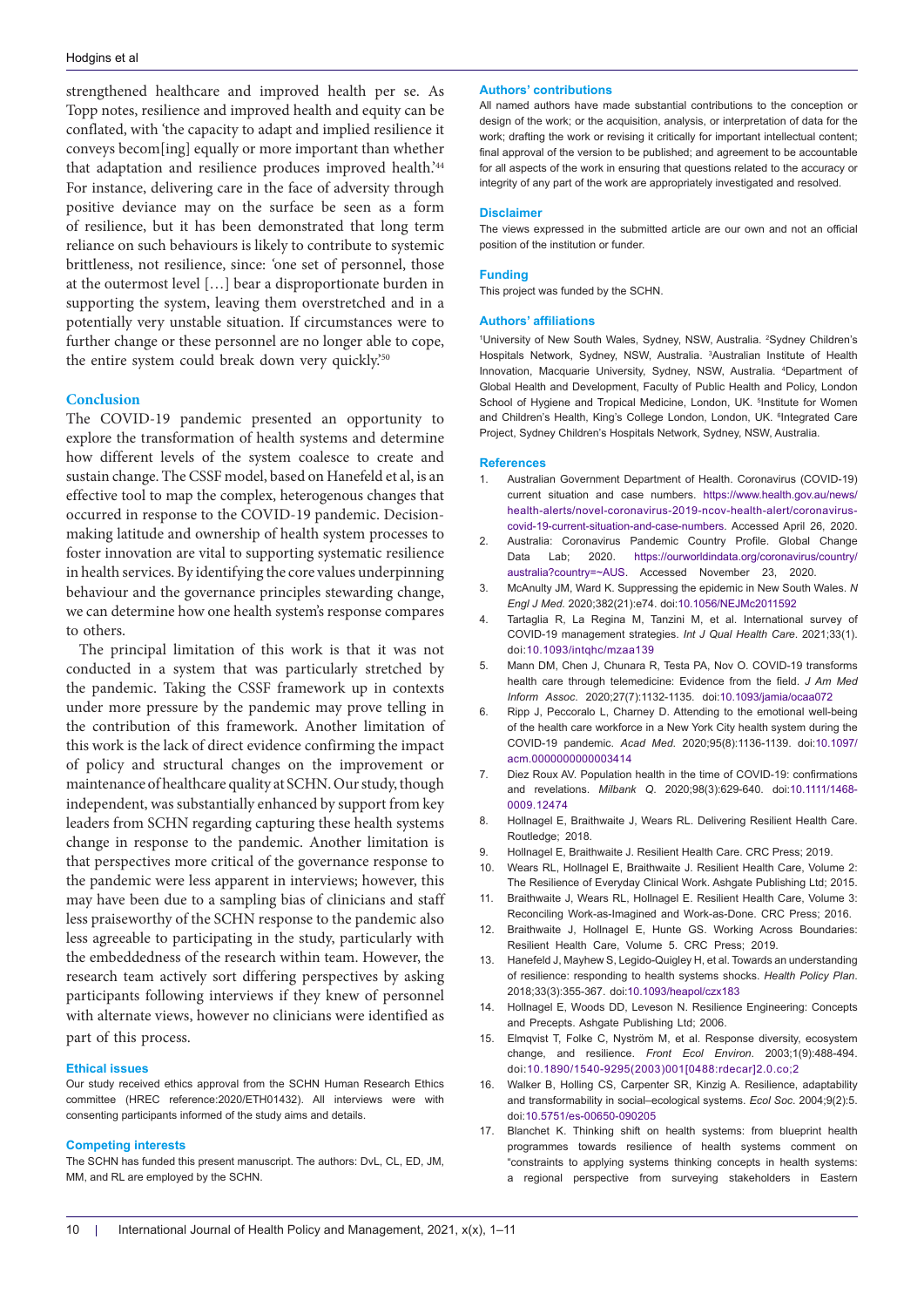#### Hodgins et al

strengthened healthcare and improved health per se. As Topp notes, resilience and improved health and equity can be conflated, with 'the capacity to adapt and implied resilience it conveys becom[ing] equally or more important than whether that adaptation and resilience produces improved health.<sup>244</sup> For instance, delivering care in the face of adversity through positive deviance may on the surface be seen as a form of resilience, but it has been demonstrated that long term reliance on such behaviours is likely to contribute to systemic brittleness, not resilience, since: *'*one set of personnel, those at the outermost level […] bear a disproportionate burden in supporting the system, leaving them overstretched and in a potentially very unstable situation. If circumstances were to further change or these personnel are no longer able to cope, the entire system could break down very quickly.'50

# **Conclusion**

The COVID-19 pandemic presented an opportunity to explore the transformation of health systems and determine how different levels of the system coalesce to create and sustain change. The CSSF model, based on Hanefeld et al, is an effective tool to map the complex, heterogenous changes that occurred in response to the COVID-19 pandemic. Decisionmaking latitude and ownership of health system processes to foster innovation are vital to supporting systematic resilience in health services. By identifying the core values underpinning behaviour and the governance principles stewarding change, we can determine how one health system's response compares to others.

The principal limitation of this work is that it was not conducted in a system that was particularly stretched by the pandemic. Taking the CSSF framework up in contexts under more pressure by the pandemic may prove telling in the contribution of this framework. Another limitation of this work is the lack of direct evidence confirming the impact of policy and structural changes on the improvement or maintenance of healthcare quality at SCHN. Our study, though independent, was substantially enhanced by support from key leaders from SCHN regarding capturing these health systems change in response to the pandemic. Another limitation is that perspectives more critical of the governance response to the pandemic were less apparent in interviews; however, this may have been due to a sampling bias of clinicians and staff less praiseworthy of the SCHN response to the pandemic also less agreeable to participating in the study, particularly with the embeddedness of the research within team. However, the research team actively sort differing perspectives by asking participants following interviews if they knew of personnel with alternate views, however no clinicians were identified as part of this process.

#### **Ethical issues**

Our study received ethics approval from the SCHN Human Research Ethics committee (HREC reference:2020/ETH01432). All interviews were with consenting participants informed of the study aims and details.

#### **Competing interests**

The SCHN has funded this present manuscript. The authors: DvL, CL, ED, JM, MM, and RL are employed by the SCHN.

#### **Authors' contributions**

All named authors have made substantial contributions to the conception or design of the work; or the acquisition, analysis, or interpretation of data for the work; drafting the work or revising it critically for important intellectual content; final approval of the version to be published; and agreement to be accountable for all aspects of the work in ensuring that questions related to the accuracy or integrity of any part of the work are appropriately investigated and resolved.

#### **Disclaimer**

The views expressed in the submitted article are our own and not an official position of the institution or funder.

#### **Funding**

This project was funded by the SCHN.

#### **Authors' affiliations**

<sup>1</sup>University of New South Wales, Sydney, NSW, Australia. <sup>2</sup>Sydney Children's Hospitals Network, Sydney, NSW, Australia. 3 Australian Institute of Health Innovation, Macquarie University, Sydney, NSW, Australia. 4 Department of Global Health and Development, Faculty of Public Health and Policy, London School of Hygiene and Tropical Medicine, London, UK. <sup>5</sup>Institute for Women and Children's Health, King's College London, London, UK. <sup>6</sup>Integrated Care Project, Sydney Children's Hospitals Network, Sydney, NSW, Australia.

#### **References**

- 1. Australian Government Department of Health. Coronavirus (COVID-19) current situation and case numbers. [https://www.health.gov.au/news/](https://www.health.gov.au/news/health-alerts/novel-coronavirus-2019-ncov-health-alert/coronavirus-covid-19-current-situation-and-case-numbers) [health-alerts/novel-coronavirus-2019-ncov-health-alert/coronavirus](https://www.health.gov.au/news/health-alerts/novel-coronavirus-2019-ncov-health-alert/coronavirus-covid-19-current-situation-and-case-numbers)[covid-19-current-situation-and-case-numbers.](https://www.health.gov.au/news/health-alerts/novel-coronavirus-2019-ncov-health-alert/coronavirus-covid-19-current-situation-and-case-numbers) Accessed April 26, 2020.
- 2. Australia: Coronavirus Pandemic Country Profile. Global Change Data Lab; 2020. https://ourworldindata.org/coronavirus/country/ australia?country=~AUS. Accessed November 23, 2020.
- 3. McAnulty JM, Ward K. Suppressing the epidemic in New South Wales. *N Engl J Med*. 2020;382(21):e74. doi:[10.1056/NEJMc2011592](https://doi.org/10.1056/NEJMc2011592)
- 4. Tartaglia R, La Regina M, Tanzini M, et al. International survey of COVID-19 management strategies. *Int J Qual Health Care*. 2021;33(1). doi[:10.1093/intqhc/mzaa139](https://doi.org/10.1093/intqhc/mzaa139)
- 5. Mann DM, Chen J, Chunara R, Testa PA, Nov O. COVID-19 transforms health care through telemedicine: Evidence from the field. *J Am Med Inform Assoc*. 2020;27(7):1132-1135. doi:[10.1093/jamia/ocaa072](https://doi.org/10.1093/jamia/ocaa072)
- 6. Ripp J, Peccoralo L, Charney D. Attending to the emotional well-being of the health care workforce in a New York City health system during the COVID-19 pandemic. *Acad Med*. 2020;95(8):1136-1139. doi:[10.1097/](https://doi.org/10.1097/acm.0000000000003414) [acm.0000000000003414](https://doi.org/10.1097/acm.0000000000003414)
- 7. Diez Roux AV. Population health in the time of COVID-19: confirmations and revelations. *Milbank Q*. 2020;98(3):629-640. doi[:10.1111/1468-](https://doi.org/10.1111/1468-0009.12474) [0009.12474](https://doi.org/10.1111/1468-0009.12474)
- 8. Hollnagel E, Braithwaite J, Wears RL. Delivering Resilient Health Care. Routledge; 2018.
- 9. Hollnagel E, Braithwaite J. Resilient Health Care. CRC Press; 2019.
- 10. Wears RL, Hollnagel E, Braithwaite J. Resilient Health Care, Volume 2: The Resilience of Everyday Clinical Work. Ashgate Publishing Ltd; 2015.
- 11. Braithwaite J, Wears RL, Hollnagel E. Resilient Health Care, Volume 3: Reconciling Work-as-Imagined and Work-as-Done. CRC Press; 2016.
- 12. Braithwaite J, Hollnagel E, Hunte GS. Working Across Boundaries: Resilient Health Care, Volume 5. CRC Press; 2019.
- 13. Hanefeld J, Mayhew S, Legido-Quigley H, et al. Towards an understanding of resilience: responding to health systems shocks. *Health Policy Plan*. 2018;33(3):355-367. doi[:10.1093/heapol/czx183](https://doi.org/10.1093/heapol/czx183)
- 14. Hollnagel E, Woods DD, Leveson N. Resilience Engineering: Concepts and Precepts. Ashgate Publishing Ltd; 2006.
- 15. Elmqvist T, Folke C, Nyström M, et al. Response diversity, ecosystem change, and resilience. *Front Ecol Environ*. 2003;1(9):488-494. doi:[10.1890/1540-9295\(2003\)001\[0488:rdecar\]2.0.co;2](https://doi.org/10.1890/1540-9295(2003)001%5b0488:rdecar%5d2.0.co;2)
- 16. Walker B, Holling CS, Carpenter SR, Kinzig A. Resilience, adaptability and transformability in social–ecological systems. *Ecol Soc*. 2004;9(2):5. doi:[10.5751/es-00650-090205](https://doi.org/10.5751/es-00650-090205)
- 17. Blanchet K. Thinking shift on health systems: from blueprint health programmes towards resilience of health systems comment on "constraints to applying systems thinking concepts in health systems: a regional perspective from surveying stakeholders in Eastern